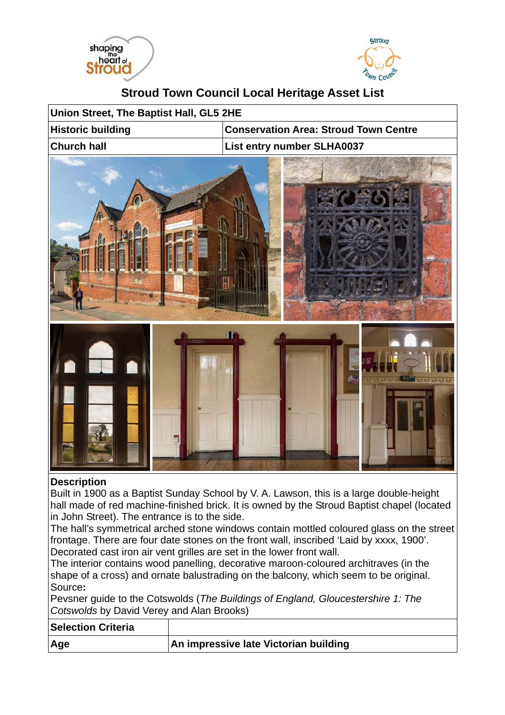



## **Stroud Town Council Local Heritage Asset List**

| Union Street, The Baptist Hall, GL5 2HE |                                              |  |
|-----------------------------------------|----------------------------------------------|--|
| <b>Historic building</b>                | <b>Conservation Area: Stroud Town Centre</b> |  |
| <b>Church hall</b>                      | List entry number SLHA0037                   |  |
| œ                                       |                                              |  |
| <b>Description</b>                      | <b>FXF</b>                                   |  |

## **Description**

Built in 1900 as a Baptist Sunday School by V. A. Lawson, this is a large double-height hall made of red machine-finished brick. It is owned by the Stroud Baptist chapel (located in John Street). The entrance is to the side.

The hall's symmetrical arched stone windows contain mottled coloured glass on the street frontage. There are four date stones on the front wall, inscribed 'Laid by xxxx, 1900'. Decorated cast iron air vent grilles are set in the lower front wall.

The interior contains wood panelling, decorative maroon-coloured architraves (in the shape of a cross) and ornate balustrading on the balcony, which seem to be original. Source**:** 

Pevsner guide to the Cotswolds (*The Buildings of England, Gloucestershire 1: The Cotswolds* by David Verey and Alan Brooks)

| <b>Selection Criteria</b> |                                       |
|---------------------------|---------------------------------------|
| ∣Age                      | An impressive late Victorian building |